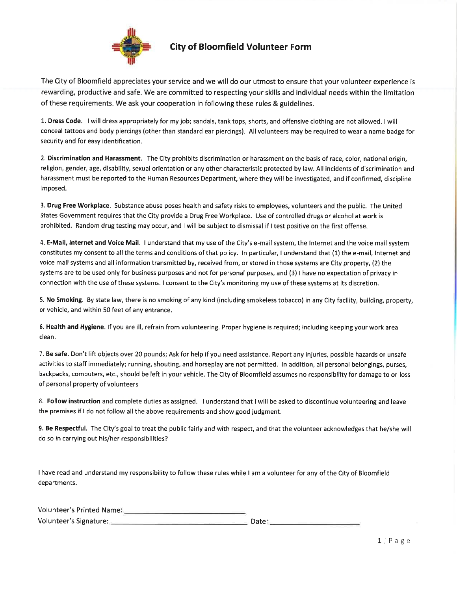

## **City of Bloomfield Volunteer Form**

The City of Bloomfield appreciates your service and we will do our utmost to ensure that your volunteer experience is rewarding, productive and safe. We are committed to respecting your skills and individual needs within the limitation of these requirements. We ask your cooperation in following these rules & guidelines.

1. Dress Code. I will dress appropriately for my job; sandals, tank tops, shorts, and offensive clothing are not allowed. I will conceal tattoos and body piercings (other than standard ear piercings). All volunteers may be required to wear a name badge for security and for easy identification.

2. Discrimination and Harassment. The City prohibits discrimination or harassment on the basis of race, color, national origin, religion, gender, age, disability, sexual orientation or any other characteristic protected by law. All incidents of discrimination and harassment must be reported to the Human Resources Department, where they will be investigated, and if confirmed, discipline imposed.

3. Drug Free Workplace. Substance abuse poses health and safety risks to employees, volunteers and the public. The United States Government requires that the City provide a Drug Free Workplace. Use of controlled drugs or alcohol at work is prohibited. Random drug testing may occur, and I will be subject to dismissal if I test positive on the first offense.

4. E-Mail, Internet and Voice Mail. I understand that my use of the City's e-mail system, the Internet and the voice mail system constitutes my consent to all the terms and conditions of that policy. In particular, I understand that (1) the e-mail, Internet and voice mail systems and all information transmitted by, received from, or stored in those systems are City property, (2) the systems are to be used only for business purposes and not for personal purposes, and (3) I have no expectation of privacy in connection with the use of these systems. I consent to the City's monitoring my use of these systems at its discretion.

5. No Smoking. By state law, there is no smoking of any kind (including smokeless tobacco) in any City facility, building, property, or vehicle, and within 50 feet of any entrance.

6. Health and Hygiene. If you are ill, refrain from volunteering. Proper hygiene is required; including keeping your work area clean.

7. Be safe. Don't lift objects over 20 pounds; Ask for help if you need assistance. Report any injuries, possible hazards or unsafe activities to staff immediately; running, shouting, and horseplay are not permitted. In addition, all personal belongings, purses, backpacks, computers, etc., should be left in your vehicle. The City of Bloomfield assumes no responsibility for damage to or loss of personal property of volunteers

8. Follow instruction and complete duties as assigned. I understand that I will be asked to discontinue volunteering and leave the premises if I do not follow all the above requirements and show good judgment.

9. Be Respectful. The City's goal to treat the public fairly and with respect, and that the volunteer acknowledges that he/she will do so in carrying out his/her responsibilities?

I have read and understand my responsibility to follow these rules while I am a volunteer for any of the City of Bloomfield departments.

| <b>Volunteer's Printed Name:</b> |       |  |
|----------------------------------|-------|--|
| Volunteer's Signature:           | Date: |  |